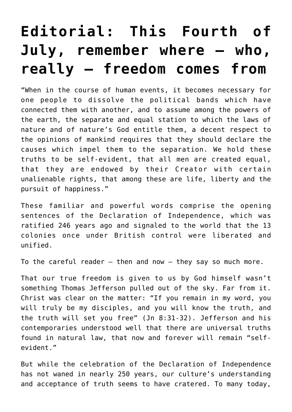## **[Editorial: This Fourth of](https://www.osvnews.com/2022/06/21/editorial-this-fourth-of-july-remember-where-who-really-freedom-comes-from/) [July, remember where — who,](https://www.osvnews.com/2022/06/21/editorial-this-fourth-of-july-remember-where-who-really-freedom-comes-from/) [really — freedom comes from](https://www.osvnews.com/2022/06/21/editorial-this-fourth-of-july-remember-where-who-really-freedom-comes-from/)**

"When in the course of human events, it becomes necessary for one people to dissolve the political bands which have connected them with another, and to assume among the powers of the earth, the separate and equal station to which the laws of nature and of nature's God entitle them, a decent respect to the opinions of mankind requires that they should declare the causes which impel them to the separation. We hold these truths to be self-evident, that all men are created equal, that they are endowed by their Creator with certain unalienable rights, that among these are life, liberty and the pursuit of happiness."

These familiar and powerful words comprise the opening sentences of the Declaration of Independence, which was ratified 246 years ago and signaled to the world that the 13 colonies once under British control were liberated and unified.

To the careful reader  $-$  then and now  $-$  they say so much more.

That our true freedom is given to us by God himself wasn't something Thomas Jefferson pulled out of the sky. Far from it. Christ was clear on the matter: "If you remain in my word, you will truly be my disciples, and you will know the truth, and the truth will set you free" (Jn 8:31-32). Jefferson and his contemporaries understood well that there are universal truths found in natural law, that now and forever will remain "selfevident."

But while the celebration of the Declaration of Independence has not waned in nearly 250 years, our culture's understanding and acceptance of truth seems to have cratered. To many today,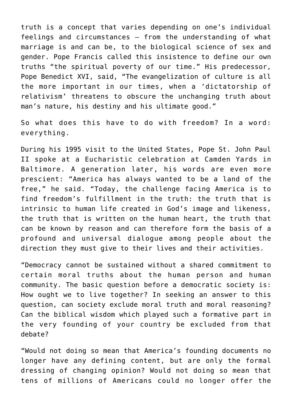truth is a concept that varies depending on one's individual feelings and circumstances — from the understanding of what marriage is and can be, to the biological science of sex and gender. Pope Francis called this insistence to define our own truths "the spiritual poverty of our time." His predecessor, Pope Benedict XVI, said, "The evangelization of culture is all the more important in our times, when a 'dictatorship of relativism' threatens to obscure the unchanging truth about man's nature, his destiny and his ultimate good."

So what does this have to do with freedom? In a word: everything.

During his 1995 visit to the United States, Pope St. John Paul II spoke at a Eucharistic celebration at Camden Yards in Baltimore. A generation later, his words are even more prescient: "America has always wanted to be a land of the free," he said. "Today, the challenge facing America is to find freedom's fulfillment in the truth: the truth that is intrinsic to human life created in God's image and likeness, the truth that is written on the human heart, the truth that can be known by reason and can therefore form the basis of a profound and universal dialogue among people about the direction they must give to their lives and their activities.

"Democracy cannot be sustained without a shared commitment to certain moral truths about the human person and human community. The basic question before a democratic society is: How ought we to live together? In seeking an answer to this question, can society exclude moral truth and moral reasoning? Can the biblical wisdom which played such a formative part in the very founding of your country be excluded from that debate?

"Would not doing so mean that America's founding documents no longer have any defining content, but are only the formal dressing of changing opinion? Would not doing so mean that tens of millions of Americans could no longer offer the